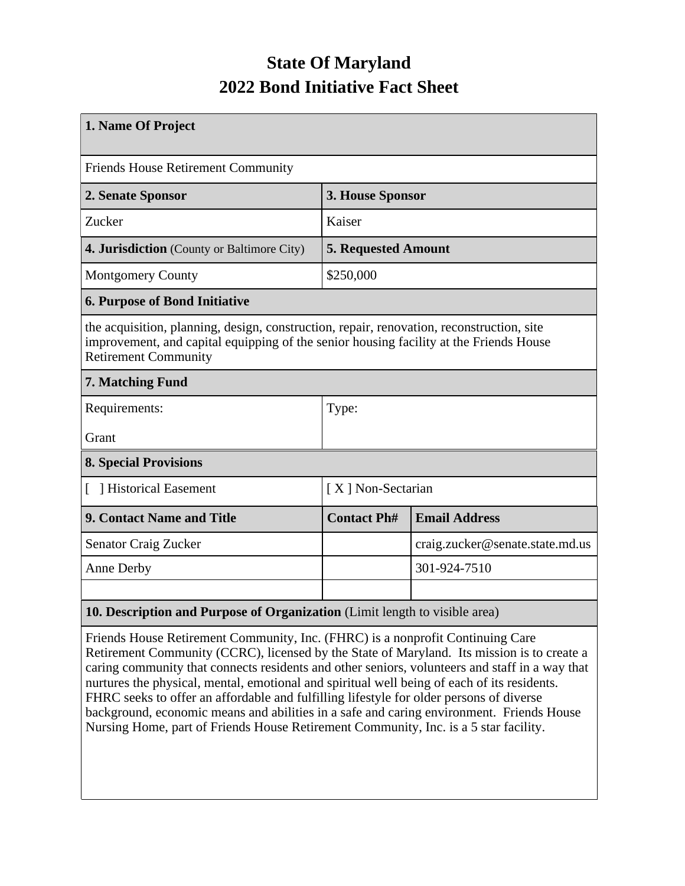## **State Of Maryland 2022 Bond Initiative Fact Sheet**

| 1. Name Of Project                                                                                                                                                                                                 |                            |                                 |  |  |  |
|--------------------------------------------------------------------------------------------------------------------------------------------------------------------------------------------------------------------|----------------------------|---------------------------------|--|--|--|
| <b>Friends House Retirement Community</b>                                                                                                                                                                          |                            |                                 |  |  |  |
| 2. Senate Sponsor                                                                                                                                                                                                  | 3. House Sponsor           |                                 |  |  |  |
| Zucker                                                                                                                                                                                                             | Kaiser                     |                                 |  |  |  |
| 4. Jurisdiction (County or Baltimore City)                                                                                                                                                                         | <b>5. Requested Amount</b> |                                 |  |  |  |
| <b>Montgomery County</b>                                                                                                                                                                                           | \$250,000                  |                                 |  |  |  |
| <b>6. Purpose of Bond Initiative</b>                                                                                                                                                                               |                            |                                 |  |  |  |
| the acquisition, planning, design, construction, repair, renovation, reconstruction, site<br>improvement, and capital equipping of the senior housing facility at the Friends House<br><b>Retirement Community</b> |                            |                                 |  |  |  |
| 7. Matching Fund                                                                                                                                                                                                   |                            |                                 |  |  |  |
| Requirements:                                                                                                                                                                                                      | Type:                      |                                 |  |  |  |
| Grant                                                                                                                                                                                                              |                            |                                 |  |  |  |
| <b>8. Special Provisions</b>                                                                                                                                                                                       |                            |                                 |  |  |  |
| Historical Easement                                                                                                                                                                                                | [X] Non-Sectarian          |                                 |  |  |  |
| <b>9. Contact Name and Title</b>                                                                                                                                                                                   | <b>Contact Ph#</b>         | <b>Email Address</b>            |  |  |  |
| <b>Senator Craig Zucker</b>                                                                                                                                                                                        |                            | craig.zucker@senate.state.md.us |  |  |  |
| Anne Derby                                                                                                                                                                                                         |                            | 301-924-7510                    |  |  |  |
|                                                                                                                                                                                                                    |                            |                                 |  |  |  |
| 10. Description and Purpose of Organization (Limit length to visible area)                                                                                                                                         |                            |                                 |  |  |  |

Friends House Retirement Community, Inc. (FHRC) is a nonprofit Continuing Care Retirement Community (CCRC), licensed by the State of Maryland. Its mission is to create a caring community that connects residents and other seniors, volunteers and staff in a way that nurtures the physical, mental, emotional and spiritual well being of each of its residents. FHRC seeks to offer an affordable and fulfilling lifestyle for older persons of diverse background, economic means and abilities in a safe and caring environment. Friends House Nursing Home, part of Friends House Retirement Community, Inc. is a 5 star facility.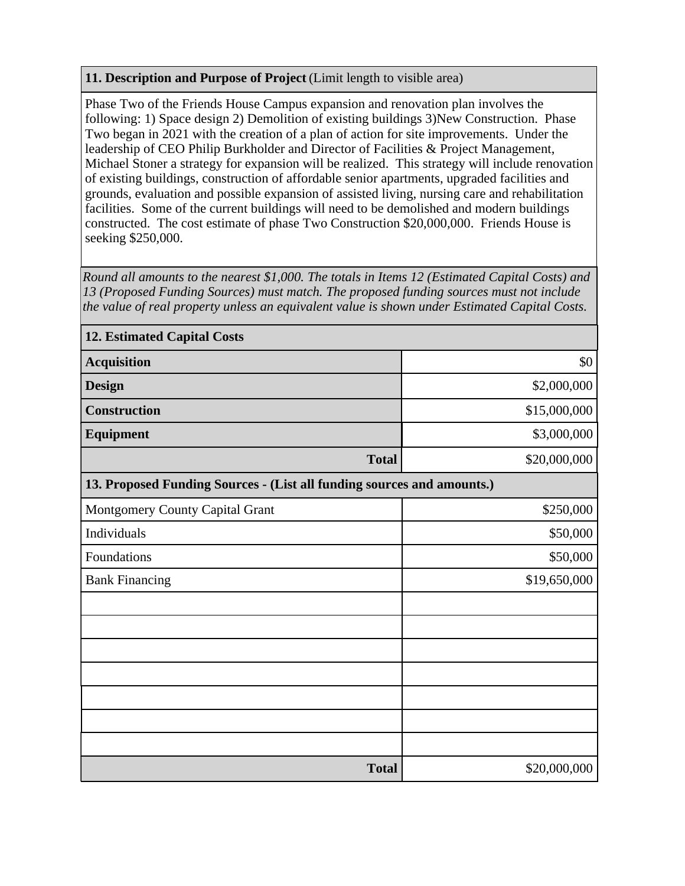## **11. Description and Purpose of Project** (Limit length to visible area)

Phase Two of the Friends House Campus expansion and renovation plan involves the following: 1) Space design 2) Demolition of existing buildings 3)New Construction. Phase Two began in 2021 with the creation of a plan of action for site improvements. Under the leadership of CEO Philip Burkholder and Director of Facilities & Project Management, Michael Stoner a strategy for expansion will be realized. This strategy will include renovation of existing buildings, construction of affordable senior apartments, upgraded facilities and grounds, evaluation and possible expansion of assisted living, nursing care and rehabilitation facilities. Some of the current buildings will need to be demolished and modern buildings constructed. The cost estimate of phase Two Construction \$20,000,000. Friends House is seeking \$250,000.

*Round all amounts to the nearest \$1,000. The totals in Items 12 (Estimated Capital Costs) and 13 (Proposed Funding Sources) must match. The proposed funding sources must not include the value of real property unless an equivalent value is shown under Estimated Capital Costs.*

| <b>12. Estimated Capital Costs</b>                                     |              |  |  |  |  |
|------------------------------------------------------------------------|--------------|--|--|--|--|
| <b>Acquisition</b>                                                     | \$0          |  |  |  |  |
| <b>Design</b>                                                          | \$2,000,000  |  |  |  |  |
| <b>Construction</b>                                                    | \$15,000,000 |  |  |  |  |
| <b>Equipment</b>                                                       | \$3,000,000  |  |  |  |  |
| <b>Total</b>                                                           | \$20,000,000 |  |  |  |  |
| 13. Proposed Funding Sources - (List all funding sources and amounts.) |              |  |  |  |  |
| Montgomery County Capital Grant                                        | \$250,000    |  |  |  |  |
| Individuals                                                            | \$50,000     |  |  |  |  |
| Foundations                                                            | \$50,000     |  |  |  |  |
| <b>Bank Financing</b>                                                  | \$19,650,000 |  |  |  |  |
|                                                                        |              |  |  |  |  |
|                                                                        |              |  |  |  |  |
|                                                                        |              |  |  |  |  |
|                                                                        |              |  |  |  |  |
|                                                                        |              |  |  |  |  |
|                                                                        |              |  |  |  |  |
|                                                                        |              |  |  |  |  |
| <b>Total</b>                                                           | \$20,000,000 |  |  |  |  |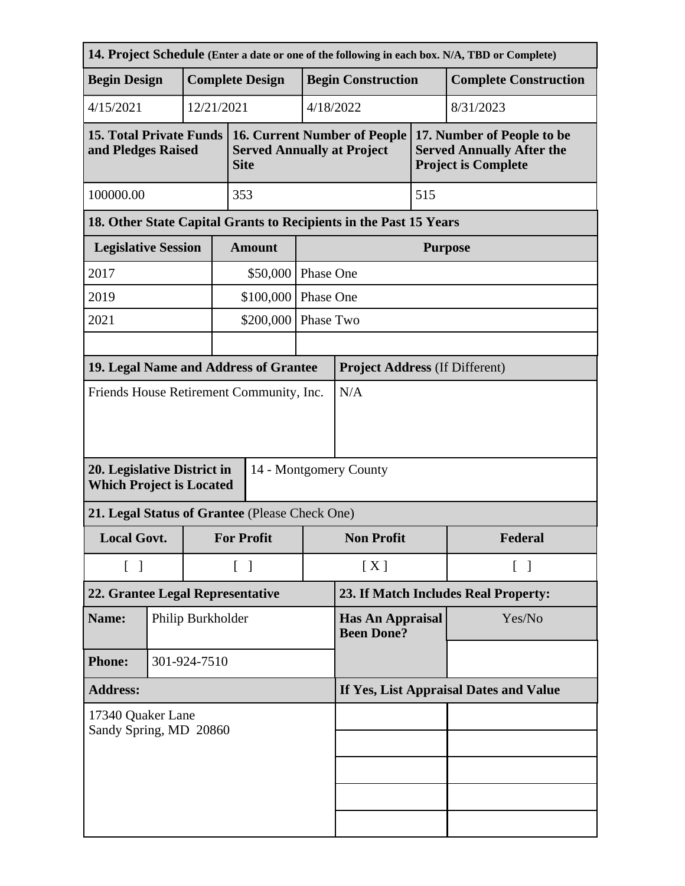| 14. Project Schedule (Enter a date or one of the following in each box. N/A, TBD or Complete)     |                            |                   |                                                                                         |                        |                                              |                                              |                                                                                              |                              |  |
|---------------------------------------------------------------------------------------------------|----------------------------|-------------------|-----------------------------------------------------------------------------------------|------------------------|----------------------------------------------|----------------------------------------------|----------------------------------------------------------------------------------------------|------------------------------|--|
| <b>Begin Design</b>                                                                               |                            |                   |                                                                                         | <b>Complete Design</b> | <b>Begin Construction</b>                    |                                              |                                                                                              | <b>Complete Construction</b> |  |
| 4/15/2021                                                                                         |                            |                   | 12/21/2021                                                                              |                        |                                              | 4/18/2022<br>8/31/2023                       |                                                                                              |                              |  |
| <b>15. Total Private Funds</b><br>and Pledges Raised                                              |                            |                   | <b>16. Current Number of People</b><br><b>Served Annually at Project</b><br><b>Site</b> |                        |                                              |                                              | 17. Number of People to be<br><b>Served Annually After the</b><br><b>Project is Complete</b> |                              |  |
| 100000.00                                                                                         | 353                        |                   |                                                                                         |                        | 515                                          |                                              |                                                                                              |                              |  |
| 18. Other State Capital Grants to Recipients in the Past 15 Years                                 |                            |                   |                                                                                         |                        |                                              |                                              |                                                                                              |                              |  |
|                                                                                                   | <b>Legislative Session</b> |                   |                                                                                         | <b>Amount</b>          |                                              | <b>Purpose</b>                               |                                                                                              |                              |  |
| 2017                                                                                              |                            |                   |                                                                                         | \$50,000<br>Phase One  |                                              |                                              |                                                                                              |                              |  |
| 2019                                                                                              |                            |                   |                                                                                         | \$100,000<br>Phase One |                                              |                                              |                                                                                              |                              |  |
| 2021                                                                                              |                            |                   |                                                                                         | \$200,000              | Phase Two                                    |                                              |                                                                                              |                              |  |
|                                                                                                   |                            |                   |                                                                                         |                        |                                              |                                              |                                                                                              |                              |  |
| 19. Legal Name and Address of Grantee                                                             |                            |                   |                                                                                         |                        |                                              | <b>Project Address (If Different)</b><br>N/A |                                                                                              |                              |  |
| Friends House Retirement Community, Inc.<br>20. Legislative District in<br>14 - Montgomery County |                            |                   |                                                                                         |                        |                                              |                                              |                                                                                              |                              |  |
| <b>Which Project is Located</b><br>21. Legal Status of Grantee (Please Check One)                 |                            |                   |                                                                                         |                        |                                              |                                              |                                                                                              |                              |  |
| <b>Local Govt.</b><br><b>For Profit</b>                                                           |                            |                   |                                                                                         | <b>Non Profit</b>      |                                              | Federal                                      |                                                                                              |                              |  |
| $\begin{bmatrix} 1 \end{bmatrix}$                                                                 |                            |                   | $\lceil \; \rceil$                                                                      |                        | [X]<br>$\lceil \; \rceil$                    |                                              |                                                                                              |                              |  |
| 22. Grantee Legal Representative                                                                  |                            |                   | 23. If Match Includes Real Property:                                                    |                        |                                              |                                              |                                                                                              |                              |  |
| Name:                                                                                             |                            | Philip Burkholder |                                                                                         |                        | <b>Has An Appraisal</b><br><b>Been Done?</b> |                                              | Yes/No                                                                                       |                              |  |
| <b>Phone:</b>                                                                                     |                            |                   | 301-924-7510                                                                            |                        |                                              |                                              |                                                                                              |                              |  |
| <b>Address:</b>                                                                                   |                            |                   | If Yes, List Appraisal Dates and Value                                                  |                        |                                              |                                              |                                                                                              |                              |  |
| 17340 Quaker Lane<br>Sandy Spring, MD 20860                                                       |                            |                   |                                                                                         |                        |                                              |                                              |                                                                                              |                              |  |
|                                                                                                   |                            |                   |                                                                                         |                        |                                              |                                              |                                                                                              |                              |  |
|                                                                                                   |                            |                   |                                                                                         |                        |                                              |                                              |                                                                                              |                              |  |
|                                                                                                   |                            |                   |                                                                                         |                        |                                              |                                              |                                                                                              |                              |  |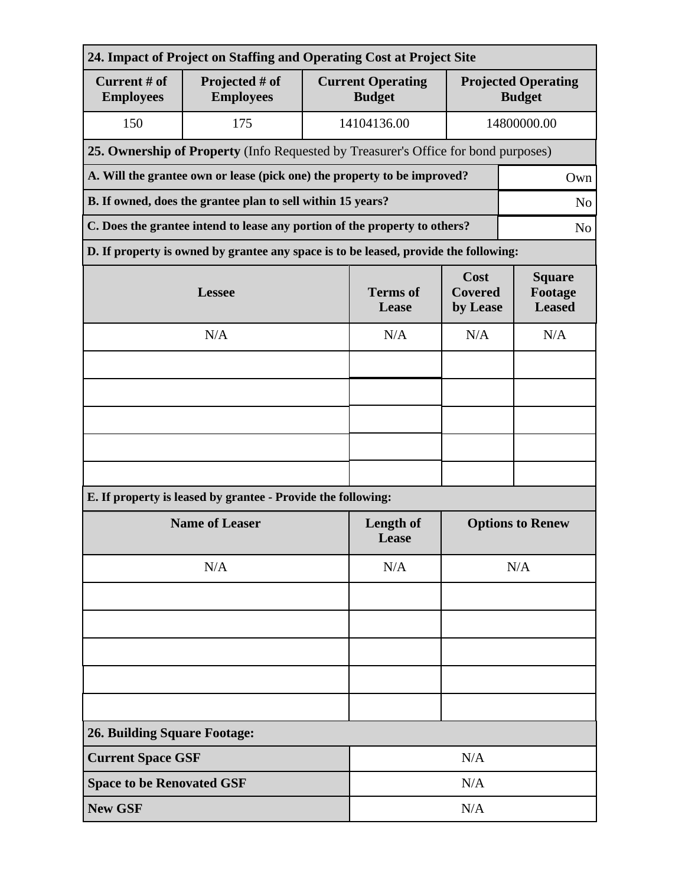| 24. Impact of Project on Staffing and Operating Cost at Project Site                         |                                                                                      |                          |                                           |                                             |             |  |  |
|----------------------------------------------------------------------------------------------|--------------------------------------------------------------------------------------|--------------------------|-------------------------------------------|---------------------------------------------|-------------|--|--|
| Current # of<br><b>Employees</b>                                                             | Projected # of<br><b>Employees</b>                                                   |                          | <b>Current Operating</b><br><b>Budget</b> | <b>Projected Operating</b><br><b>Budget</b> |             |  |  |
| 150                                                                                          | 175                                                                                  |                          | 14104136.00                               |                                             | 14800000.00 |  |  |
|                                                                                              | 25. Ownership of Property (Info Requested by Treasurer's Office for bond purposes)   |                          |                                           |                                             |             |  |  |
| A. Will the grantee own or lease (pick one) the property to be improved?<br>Own              |                                                                                      |                          |                                           |                                             |             |  |  |
| B. If owned, does the grantee plan to sell within 15 years?<br>N <sub>o</sub>                |                                                                                      |                          |                                           |                                             |             |  |  |
| C. Does the grantee intend to lease any portion of the property to others?<br>N <sub>0</sub> |                                                                                      |                          |                                           |                                             |             |  |  |
|                                                                                              | D. If property is owned by grantee any space is to be leased, provide the following: |                          |                                           |                                             |             |  |  |
|                                                                                              | <b>Lessee</b>                                                                        | <b>Terms</b> of<br>Lease | Cost<br><b>Covered</b><br>by Lease        | <b>Square</b><br>Footage<br><b>Leased</b>   |             |  |  |
|                                                                                              | N/A                                                                                  | N/A                      | N/A                                       | N/A                                         |             |  |  |
|                                                                                              |                                                                                      |                          |                                           |                                             |             |  |  |
|                                                                                              |                                                                                      |                          |                                           |                                             |             |  |  |
|                                                                                              |                                                                                      |                          |                                           |                                             |             |  |  |
|                                                                                              |                                                                                      |                          |                                           |                                             |             |  |  |
|                                                                                              |                                                                                      |                          |                                           |                                             |             |  |  |
|                                                                                              | E. If property is leased by grantee - Provide the following:                         |                          |                                           |                                             |             |  |  |
| <b>Name of Leaser</b>                                                                        |                                                                                      |                          | Length of<br>Lease                        | <b>Options to Renew</b>                     |             |  |  |
|                                                                                              | N/A                                                                                  | N/A                      | N/A                                       |                                             |             |  |  |
|                                                                                              |                                                                                      |                          |                                           |                                             |             |  |  |
|                                                                                              |                                                                                      |                          |                                           |                                             |             |  |  |
|                                                                                              |                                                                                      |                          |                                           |                                             |             |  |  |
|                                                                                              |                                                                                      |                          |                                           |                                             |             |  |  |
|                                                                                              |                                                                                      |                          |                                           |                                             |             |  |  |
| <b>26. Building Square Footage:</b>                                                          |                                                                                      |                          |                                           |                                             |             |  |  |
| <b>Current Space GSF</b>                                                                     |                                                                                      |                          | N/A                                       |                                             |             |  |  |
| <b>Space to be Renovated GSF</b>                                                             |                                                                                      |                          | N/A                                       |                                             |             |  |  |
| <b>New GSF</b>                                                                               |                                                                                      | N/A                      |                                           |                                             |             |  |  |